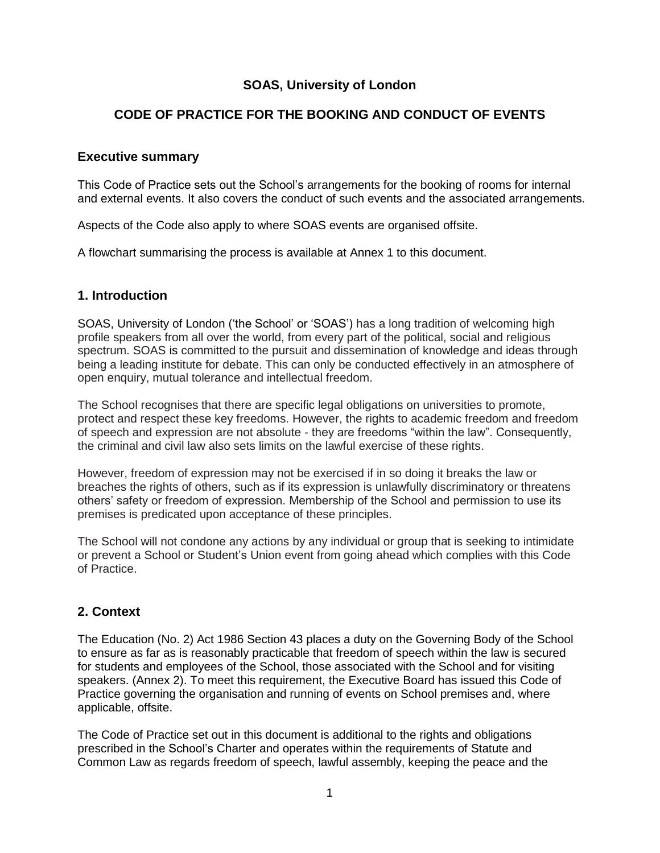# **SOAS, University of London**

# **CODE OF PRACTICE FOR THE BOOKING AND CONDUCT OF EVENTS**

## **Executive summary**

This Code of Practice sets out the School"s arrangements for the booking of rooms for internal and external events. It also covers the conduct of such events and the associated arrangements.

Aspects of the Code also apply to where SOAS events are organised offsite.

A flowchart summarising the process is available at Annex 1 to this document.

## **1. Introduction**

SOAS, University of London ("the School" or "SOAS") has a long tradition of welcoming high profile speakers from all over the world, from every part of the political, social and religious spectrum. SOAS is committed to the pursuit and dissemination of knowledge and ideas through being a leading institute for debate. This can only be conducted effectively in an atmosphere of open enquiry, mutual tolerance and intellectual freedom.

The School recognises that there are specific legal obligations on universities to promote, protect and respect these key freedoms. However, the rights to academic freedom and freedom of speech and expression are not absolute - they are freedoms "within the law". Consequently, the criminal and civil law also sets limits on the lawful exercise of these rights.

However, freedom of expression may not be exercised if in so doing it breaks the law or breaches the rights of others, such as if its expression is unlawfully discriminatory or threatens others" safety or freedom of expression. Membership of the School and permission to use its premises is predicated upon acceptance of these principles.

The School will not condone any actions by any individual or group that is seeking to intimidate or prevent a School or Student"s Union event from going ahead which complies with this Code of Practice.

## **2. Context**

The Education (No. 2) Act 1986 Section 43 places a duty on the Governing Body of the School to ensure as far as is reasonably practicable that freedom of speech within the law is secured for students and employees of the School, those associated with the School and for visiting speakers. (Annex 2). To meet this requirement, the Executive Board has issued this Code of Practice governing the organisation and running of events on School premises and, where applicable, offsite.

The Code of Practice set out in this document is additional to the rights and obligations prescribed in the School"s Charter and operates within the requirements of Statute and Common Law as regards freedom of speech, lawful assembly, keeping the peace and the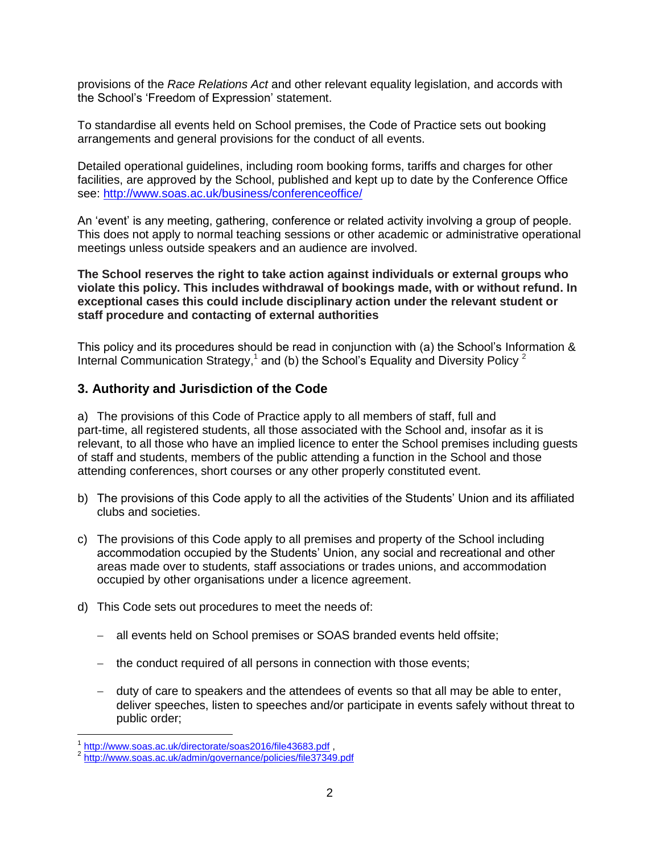provisions of the *Race Relations Act* and other relevant equality legislation, and accords with the School"s "Freedom of Expression" statement.

To standardise all events held on School premises, the Code of Practice sets out booking arrangements and general provisions for the conduct of all events.

Detailed operational guidelines, including room booking forms, tariffs and charges for other facilities, are approved by the School, published and kept up to date by the Conference Office see:<http://www.soas.ac.uk/business/conferenceoffice/>

An "event" is any meeting, gathering, conference or related activity involving a group of people. This does not apply to normal teaching sessions or other academic or administrative operational meetings unless outside speakers and an audience are involved.

**The School reserves the right to take action against individuals or external groups who violate this policy. This includes withdrawal of bookings made, with or without refund. In exceptional cases this could include disciplinary action under the relevant student or staff procedure and contacting of external authorities**

This policy and its procedures should be read in conjunction with (a) the School"s Information & Internal Communication Strategy,<sup>1</sup> and (b) the School's Equality and Diversity Policy <sup>2</sup>

## **3. Authority and Jurisdiction of the Code**

a) The provisions of this Code of Practice apply to all members of staff, full and part-time, all registered students, all those associated with the School and, insofar as it is relevant, to all those who have an implied licence to enter the School premises including guests of staff and students, members of the public attending a function in the School and those attending conferences, short courses or any other properly constituted event.

- b) The provisions of this Code apply to all the activities of the Students" Union and its affiliated clubs and societies.
- c) The provisions of this Code apply to all premises and property of the School including accommodation occupied by the Students" Union, any social and recreational and other areas made over to students*,* staff associations or trades unions, and accommodation occupied by other organisations under a licence agreement.
- d) This Code sets out procedures to meet the needs of:
	- all events held on School premises or SOAS branded events held offsite;
	- the conduct required of all persons in connection with those events;
	- duty of care to speakers and the attendees of events so that all may be able to enter, deliver speeches, listen to speeches and/or participate in events safely without threat to public order;

 $\overline{a}$ 1 <http://www.soas.ac.uk/directorate/soas2016/file43683.pdf>,

<sup>&</sup>lt;sup>2</sup> <http://www.soas.ac.uk/admin/governance/policies/file37349.pdf>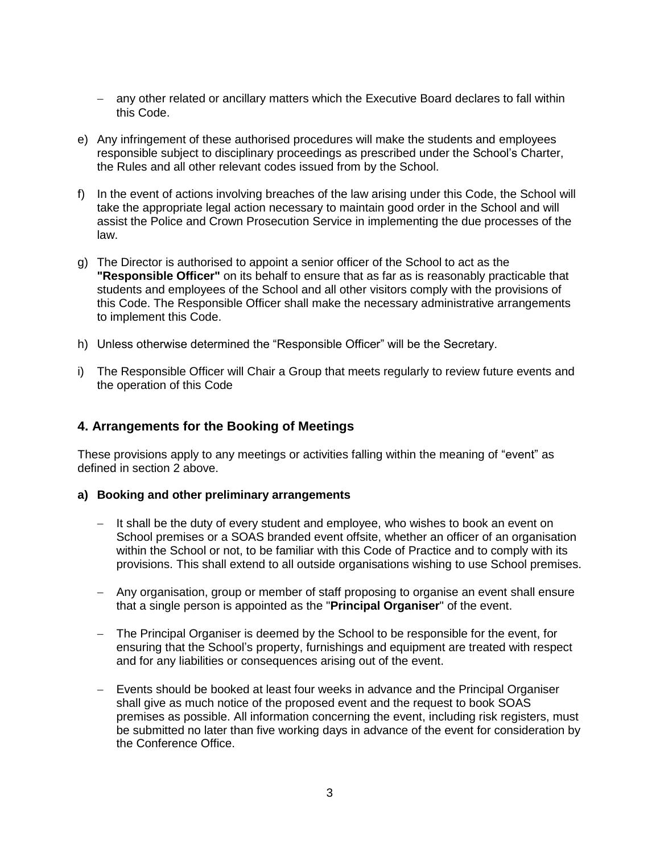- any other related or ancillary matters which the Executive Board declares to fall within this Code.
- e) Any infringement of these authorised procedures will make the students and employees responsible subject to disciplinary proceedings as prescribed under the School"s Charter, the Rules and all other relevant codes issued from by the School.
- f) In the event of actions involving breaches of the law arising under this Code, the School will take the appropriate legal action necessary to maintain good order in the School and will assist the Police and Crown Prosecution Service in implementing the due processes of the law.
- g) The Director is authorised to appoint a senior officer of the School to act as the **"Responsible Officer"** on its behalf to ensure that as far as is reasonably practicable that students and employees of the School and all other visitors comply with the provisions of this Code. The Responsible Officer shall make the necessary administrative arrangements to implement this Code.
- h) Unless otherwise determined the "Responsible Officer" will be the Secretary.
- i) The Responsible Officer will Chair a Group that meets regularly to review future events and the operation of this Code

## **4. Arrangements for the Booking of Meetings**

These provisions apply to any meetings or activities falling within the meaning of "event" as defined in section 2 above.

#### **a) Booking and other preliminary arrangements**

- $-$  It shall be the duty of every student and employee, who wishes to book an event on School premises or a SOAS branded event offsite, whether an officer of an organisation within the School or not, to be familiar with this Code of Practice and to comply with its provisions. This shall extend to all outside organisations wishing to use School premises.
- Any organisation, group or member of staff proposing to organise an event shall ensure that a single person is appointed as the "**Principal Organiser**" of the event.
- The Principal Organiser is deemed by the School to be responsible for the event, for ensuring that the School"s property, furnishings and equipment are treated with respect and for any liabilities or consequences arising out of the event.
- Events should be booked at least four weeks in advance and the Principal Organiser shall give as much notice of the proposed event and the request to book SOAS premises as possible. All information concerning the event, including risk registers, must be submitted no later than five working days in advance of the event for consideration by the Conference Office.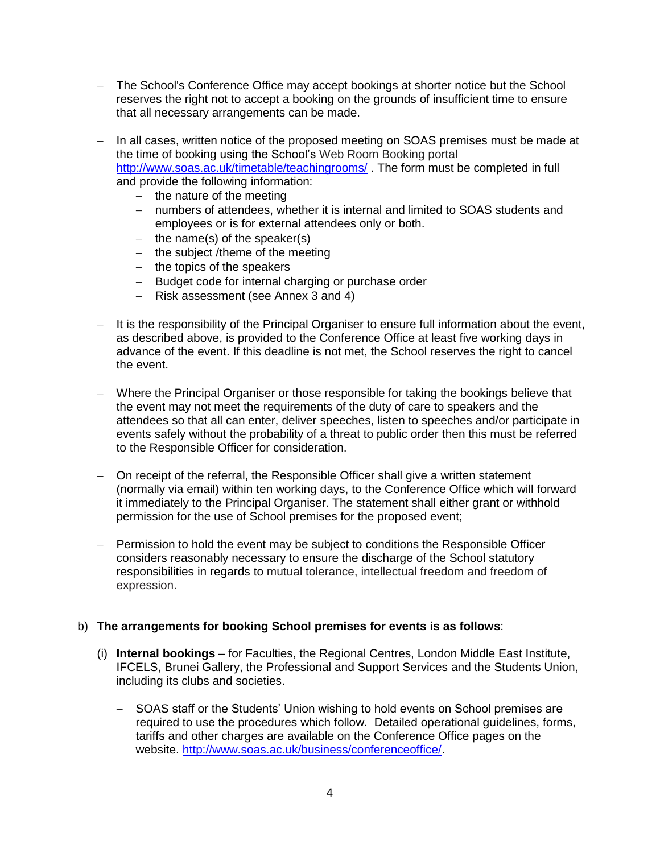- The School's Conference Office may accept bookings at shorter notice but the School reserves the right not to accept a booking on the grounds of insufficient time to ensure that all necessary arrangements can be made.
- In all cases, written notice of the proposed meeting on SOAS premises must be made at the time of booking using the School"s Web Room Booking portal <http://www.soas.ac.uk/timetable/teachingrooms/> . The form must be completed in full and provide the following information:
	- $-$  the nature of the meeting
	- numbers of attendees, whether it is internal and limited to SOAS students and employees or is for external attendees only or both.
	- $-$  the name(s) of the speaker(s)
	- $-$  the subject /theme of the meeting
	- $-$  the topics of the speakers
	- Budget code for internal charging or purchase order
	- Risk assessment (see Annex 3 and 4)
- It is the responsibility of the Principal Organiser to ensure full information about the event, as described above, is provided to the Conference Office at least five working days in advance of the event. If this deadline is not met, the School reserves the right to cancel the event.
- Where the Principal Organiser or those responsible for taking the bookings believe that the event may not meet the requirements of the duty of care to speakers and the attendees so that all can enter, deliver speeches, listen to speeches and/or participate in events safely without the probability of a threat to public order then this must be referred to the Responsible Officer for consideration.
- On receipt of the referral, the Responsible Officer shall give a written statement (normally via email) within ten working days, to the Conference Office which will forward it immediately to the Principal Organiser. The statement shall either grant or withhold permission for the use of School premises for the proposed event;
- Permission to hold the event may be subject to conditions the Responsible Officer considers reasonably necessary to ensure the discharge of the School statutory responsibilities in regards to mutual tolerance, intellectual freedom and freedom of expression.

#### b) **The arrangements for booking School premises for events is as follows**:

- (i) **Internal bookings** for Faculties, the Regional Centres, London Middle East Institute, IFCELS, Brunei Gallery, the Professional and Support Services and the Students Union, including its clubs and societies.
	- SOAS staff or the Students' Union wishing to hold events on School premises are required to use the procedures which follow. Detailed operational guidelines, forms, tariffs and other charges are available on the Conference Office pages on the website. [http://www.soas.ac.uk/business/conferenceoffice/.](http://www.soas.ac.uk/business/conferenceoffice/)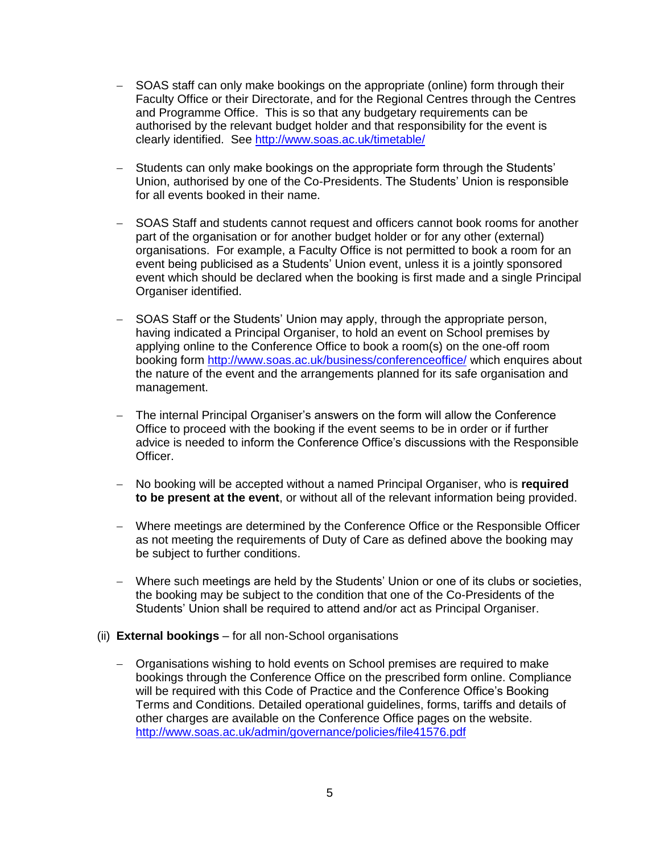- SOAS staff can only make bookings on the appropriate (online) form through their Faculty Office or their Directorate, and for the Regional Centres through the Centres and Programme Office. This is so that any budgetary requirements can be authorised by the relevant budget holder and that responsibility for the event is clearly identified. See<http://www.soas.ac.uk/timetable/>
- Students can only make bookings on the appropriate form through the Students' Union, authorised by one of the Co-Presidents. The Students" Union is responsible for all events booked in their name.
- SOAS Staff and students cannot request and officers cannot book rooms for another part of the organisation or for another budget holder or for any other (external) organisations. For example, a Faculty Office is not permitted to book a room for an event being publicised as a Students" Union event, unless it is a jointly sponsored event which should be declared when the booking is first made and a single Principal Organiser identified.
- SOAS Staff or the Students' Union may apply, through the appropriate person, having indicated a Principal Organiser, to hold an event on School premises by applying online to the Conference Office to book a room(s) on the one-off room booking form<http://www.soas.ac.uk/business/conferenceoffice/> which enquires about the nature of the event and the arrangements planned for its safe organisation and management.
- The internal Principal Organiser"s answers on the form will allow the Conference Office to proceed with the booking if the event seems to be in order or if further advice is needed to inform the Conference Office"s discussions with the Responsible Officer.
- No booking will be accepted without a named Principal Organiser, who is **required to be present at the event**, or without all of the relevant information being provided.
- Where meetings are determined by the Conference Office or the Responsible Officer as not meeting the requirements of Duty of Care as defined above the booking may be subject to further conditions.
- Where such meetings are held by the Students' Union or one of its clubs or societies, the booking may be subject to the condition that one of the Co-Presidents of the Students' Union shall be required to attend and/or act as Principal Organiser.
- (ii) **External bookings** for all non-School organisations
	- Organisations wishing to hold events on School premises are required to make bookings through the Conference Office on the prescribed form online. Compliance will be required with this Code of Practice and the Conference Office"s Booking Terms and Conditions. Detailed operational guidelines, forms, tariffs and details of other charges are available on the Conference Office pages on the website. <http://www.soas.ac.uk/admin/governance/policies/file41576.pdf>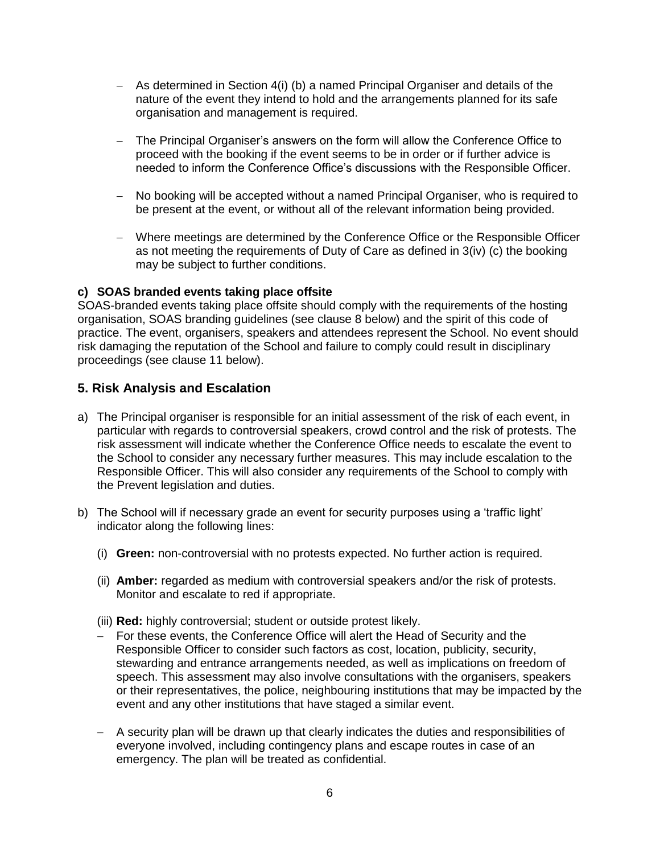- As determined in Section 4(i) (b) a named Principal Organiser and details of the nature of the event they intend to hold and the arrangements planned for its safe organisation and management is required.
- The Principal Organiser"s answers on the form will allow the Conference Office to proceed with the booking if the event seems to be in order or if further advice is needed to inform the Conference Office"s discussions with the Responsible Officer.
- No booking will be accepted without a named Principal Organiser, who is required to be present at the event, or without all of the relevant information being provided.
- Where meetings are determined by the Conference Office or the Responsible Officer as not meeting the requirements of Duty of Care as defined in 3(iv) (c) the booking may be subject to further conditions.

#### **c) SOAS branded events taking place offsite**

SOAS-branded events taking place offsite should comply with the requirements of the hosting organisation, SOAS branding guidelines (see clause 8 below) and the spirit of this code of practice. The event, organisers, speakers and attendees represent the School. No event should risk damaging the reputation of the School and failure to comply could result in disciplinary proceedings (see clause 11 below).

### **5. Risk Analysis and Escalation**

- a) The Principal organiser is responsible for an initial assessment of the risk of each event, in particular with regards to controversial speakers, crowd control and the risk of protests. The risk assessment will indicate whether the Conference Office needs to escalate the event to the School to consider any necessary further measures. This may include escalation to the Responsible Officer. This will also consider any requirements of the School to comply with the Prevent legislation and duties.
- b) The School will if necessary grade an event for security purposes using a 'traffic light' indicator along the following lines:
	- (i) **Green:** non-controversial with no protests expected. No further action is required.
	- (ii) **Amber:** regarded as medium with controversial speakers and/or the risk of protests. Monitor and escalate to red if appropriate.
	- (iii) **Red:** highly controversial; student or outside protest likely.
	- For these events, the Conference Office will alert the Head of Security and the Responsible Officer to consider such factors as cost, location, publicity, security, stewarding and entrance arrangements needed, as well as implications on freedom of speech. This assessment may also involve consultations with the organisers, speakers or their representatives, the police, neighbouring institutions that may be impacted by the event and any other institutions that have staged a similar event.
	- A security plan will be drawn up that clearly indicates the duties and responsibilities of everyone involved, including contingency plans and escape routes in case of an emergency. The plan will be treated as confidential.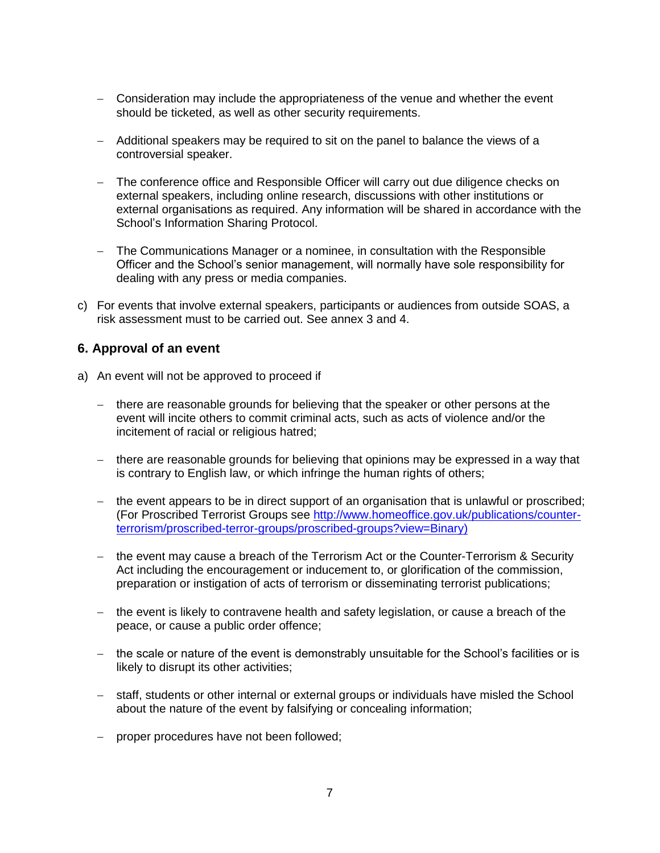- Consideration may include the appropriateness of the venue and whether the event should be ticketed, as well as other security requirements.
- Additional speakers may be required to sit on the panel to balance the views of a controversial speaker.
- The conference office and Responsible Officer will carry out due diligence checks on external speakers, including online research, discussions with other institutions or external organisations as required. Any information will be shared in accordance with the School"s Information Sharing Protocol.
- The Communications Manager or a nominee, in consultation with the Responsible Officer and the School"s senior management, will normally have sole responsibility for dealing with any press or media companies.
- c) For events that involve external speakers, participants or audiences from outside SOAS, a risk assessment must to be carried out. See annex 3 and 4.

## **6. Approval of an event**

- a) An event will not be approved to proceed if
	- there are reasonable grounds for believing that the speaker or other persons at the event will incite others to commit criminal acts, such as acts of violence and/or the incitement of racial or religious hatred;
	- there are reasonable grounds for believing that opinions may be expressed in a way that is contrary to English law, or which infringe the human rights of others;
	- the event appears to be in direct support of an organisation that is unlawful or proscribed; (For Proscribed Terrorist Groups see [http://www.homeoffice.gov.uk/publications/counter](http://www.homeoffice.gov.uk/publications/counter-terrorism/proscribed-terror-groups/proscribed-groups?view=Binary)[terrorism/proscribed-terror-groups/proscribed-groups?view=Binary\)](http://www.homeoffice.gov.uk/publications/counter-terrorism/proscribed-terror-groups/proscribed-groups?view=Binary)
	- the event may cause a breach of the Terrorism Act or the Counter-Terrorism & Security Act including the encouragement or inducement to, or glorification of the commission, preparation or instigation of acts of terrorism or disseminating terrorist publications;
	- $-$  the event is likely to contravene health and safety legislation, or cause a breach of the peace, or cause a public order offence;
	- the scale or nature of the event is demonstrably unsuitable for the School's facilities or is likely to disrupt its other activities;
	- staff, students or other internal or external groups or individuals have misled the School about the nature of the event by falsifying or concealing information;
	- proper procedures have not been followed;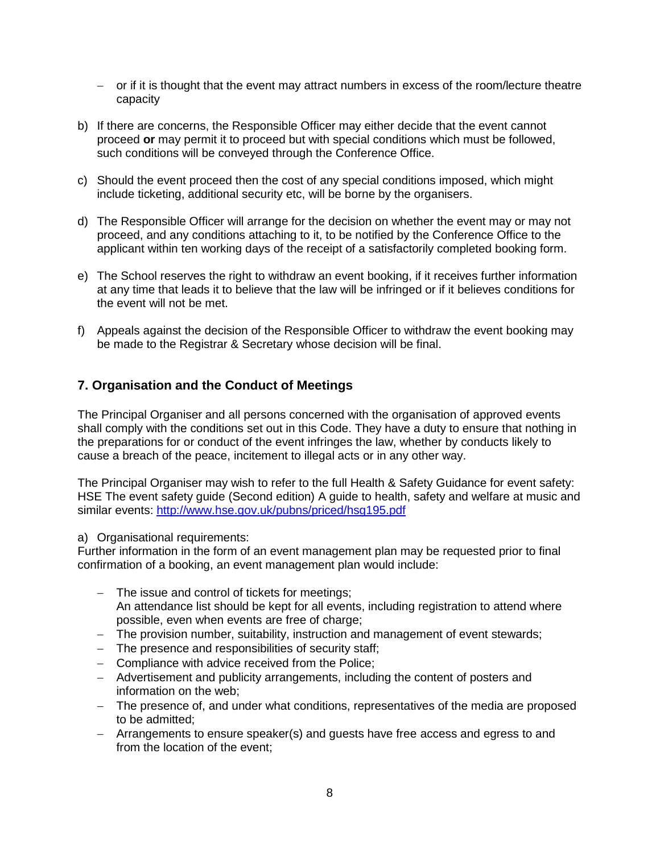- or if it is thought that the event may attract numbers in excess of the room/lecture theatre capacity
- b) If there are concerns, the Responsible Officer may either decide that the event cannot proceed **or** may permit it to proceed but with special conditions which must be followed, such conditions will be conveyed through the Conference Office.
- c) Should the event proceed then the cost of any special conditions imposed, which might include ticketing, additional security etc, will be borne by the organisers.
- d) The Responsible Officer will arrange for the decision on whether the event may or may not proceed, and any conditions attaching to it, to be notified by the Conference Office to the applicant within ten working days of the receipt of a satisfactorily completed booking form.
- e) The School reserves the right to withdraw an event booking, if it receives further information at any time that leads it to believe that the law will be infringed or if it believes conditions for the event will not be met.
- f) Appeals against the decision of the Responsible Officer to withdraw the event booking may be made to the Registrar & Secretary whose decision will be final.

## **7. Organisation and the Conduct of Meetings**

The Principal Organiser and all persons concerned with the organisation of approved events shall comply with the conditions set out in this Code. They have a duty to ensure that nothing in the preparations for or conduct of the event infringes the law, whether by conducts likely to cause a breach of the peace, incitement to illegal acts or in any other way.

The Principal Organiser may wish to refer to the full Health & Safety Guidance for event safety: HSE The event safety guide (Second edition) A guide to health, safety and welfare at music and similar events: <http://www.hse.gov.uk/pubns/priced/hsg195.pdf>

#### a) Organisational requirements:

Further information in the form of an event management plan may be requested prior to final confirmation of a booking, an event management plan would include:

- The issue and control of tickets for meetings; An attendance list should be kept for all events, including registration to attend where possible, even when events are free of charge;
- The provision number, suitability, instruction and management of event stewards;
- The presence and responsibilities of security staff;
- Compliance with advice received from the Police;
- Advertisement and publicity arrangements, including the content of posters and information on the web;
- The presence of, and under what conditions, representatives of the media are proposed to be admitted;
- Arrangements to ensure speaker(s) and guests have free access and egress to and from the location of the event;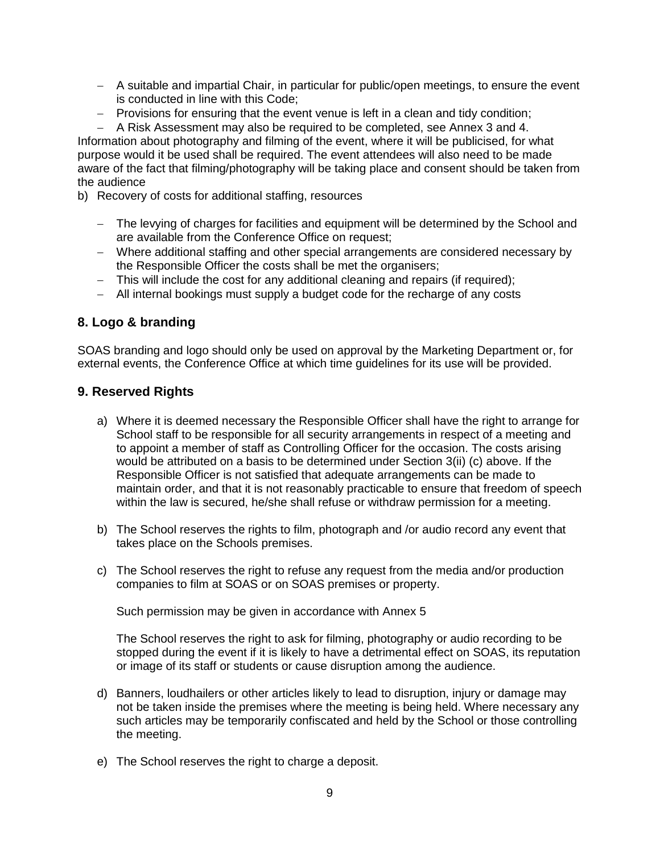- A suitable and impartial Chair, in particular for public/open meetings, to ensure the event is conducted in line with this Code;
- Provisions for ensuring that the event venue is left in a clean and tidy condition;

- A Risk Assessment may also be required to be completed, see Annex 3 and 4. Information about photography and filming of the event, where it will be publicised, for what purpose would it be used shall be required. The event attendees will also need to be made aware of the fact that filming/photography will be taking place and consent should be taken from the audience

b) Recovery of costs for additional staffing, resources

- The levying of charges for facilities and equipment will be determined by the School and are available from the Conference Office on request;
- Where additional staffing and other special arrangements are considered necessary by the Responsible Officer the costs shall be met the organisers;
- This will include the cost for any additional cleaning and repairs (if required);
- All internal bookings must supply a budget code for the recharge of any costs

## **8. Logo & branding**

SOAS branding and logo should only be used on approval by the Marketing Department or, for external events, the Conference Office at which time guidelines for its use will be provided.

### **9. Reserved Rights**

- a) Where it is deemed necessary the Responsible Officer shall have the right to arrange for School staff to be responsible for all security arrangements in respect of a meeting and to appoint a member of staff as Controlling Officer for the occasion. The costs arising would be attributed on a basis to be determined under Section 3(ii) (c) above. If the Responsible Officer is not satisfied that adequate arrangements can be made to maintain order, and that it is not reasonably practicable to ensure that freedom of speech within the law is secured, he/she shall refuse or withdraw permission for a meeting.
- b) The School reserves the rights to film, photograph and /or audio record any event that takes place on the Schools premises.
- c) The School reserves the right to refuse any request from the media and/or production companies to film at SOAS or on SOAS premises or property.

Such permission may be given in accordance with Annex 5

The School reserves the right to ask for filming, photography or audio recording to be stopped during the event if it is likely to have a detrimental effect on SOAS, its reputation or image of its staff or students or cause disruption among the audience.

- d) Banners, loudhailers or other articles likely to lead to disruption, injury or damage may not be taken inside the premises where the meeting is being held. Where necessary any such articles may be temporarily confiscated and held by the School or those controlling the meeting.
- e) The School reserves the right to charge a deposit.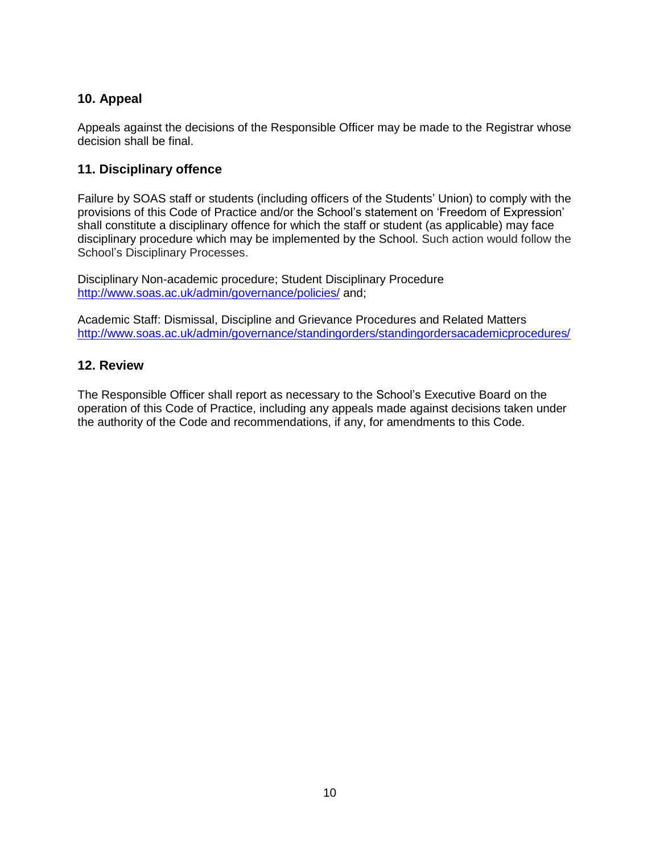# **10. Appeal**

Appeals against the decisions of the Responsible Officer may be made to the Registrar whose decision shall be final.

## **11. Disciplinary offence**

Failure by SOAS staff or students (including officers of the Students" Union) to comply with the provisions of this Code of Practice and/or the School"s statement on "Freedom of Expression" shall constitute a disciplinary offence for which the staff or student (as applicable) may face disciplinary procedure which may be implemented by the School. Such action would follow the School"s Disciplinary Processes.

Disciplinary Non-academic procedure; Student Disciplinary Procedure <http://www.soas.ac.uk/admin/governance/policies/> and;

Academic Staff: Dismissal, Discipline and Grievance Procedures and Related Matters <http://www.soas.ac.uk/admin/governance/standingorders/standingordersacademicprocedures/>

## **12. Review**

The Responsible Officer shall report as necessary to the School"s Executive Board on the operation of this Code of Practice, including any appeals made against decisions taken under the authority of the Code and recommendations, if any, for amendments to this Code.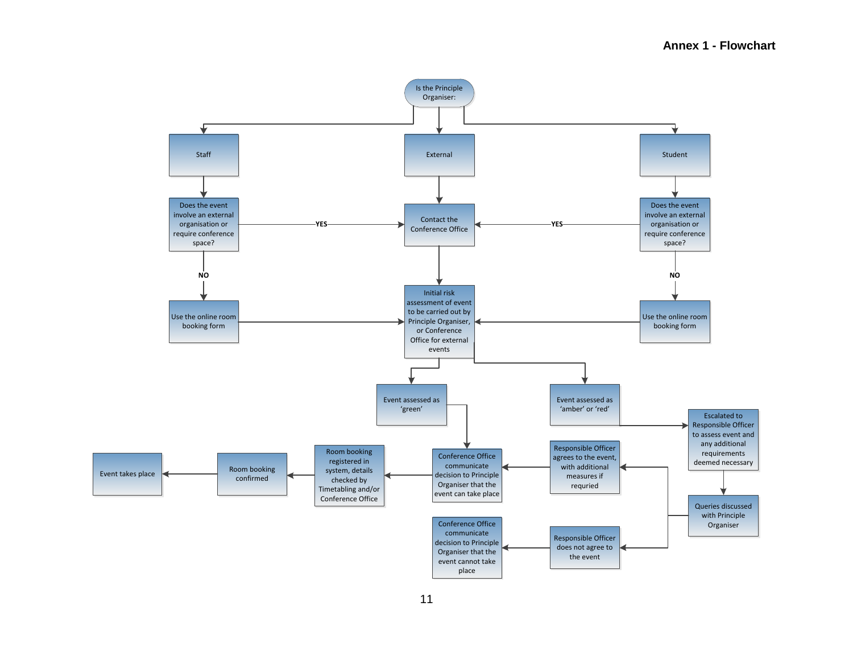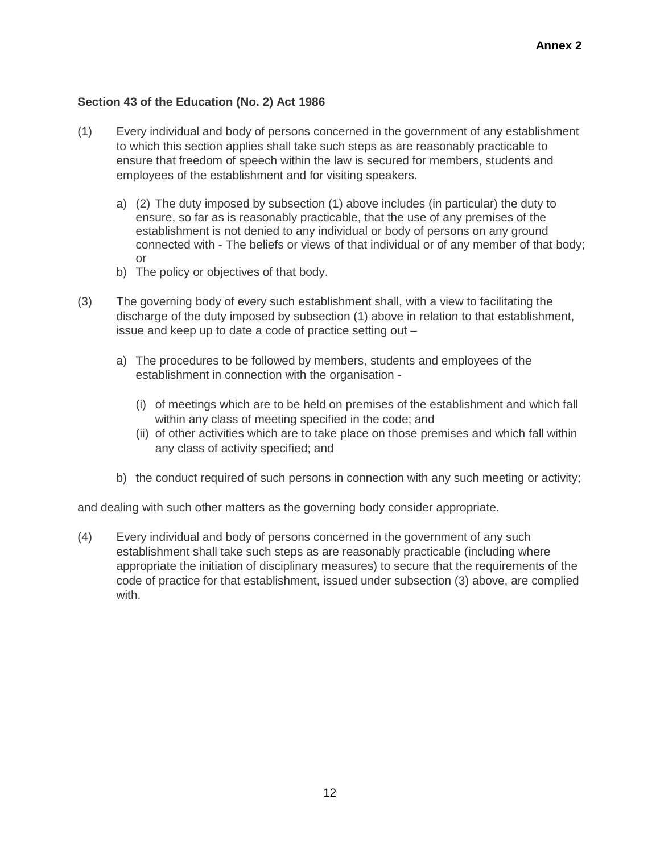## **Section 43 of the Education (No. 2) Act 1986**

- (1) Every individual and body of persons concerned in the government of any establishment to which this section applies shall take such steps as are reasonably practicable to ensure that freedom of speech within the law is secured for members, students and employees of the establishment and for visiting speakers.
	- a) (2) The duty imposed by subsection (1) above includes (in particular) the duty to ensure, so far as is reasonably practicable, that the use of any premises of the establishment is not denied to any individual or body of persons on any ground connected with - The beliefs or views of that individual or of any member of that body; or
	- b) The policy or objectives of that body.
- (3) The governing body of every such establishment shall, with a view to facilitating the discharge of the duty imposed by subsection (1) above in relation to that establishment, issue and keep up to date a code of practice setting out –
	- a) The procedures to be followed by members, students and employees of the establishment in connection with the organisation -
		- (i) of meetings which are to be held on premises of the establishment and which fall within any class of meeting specified in the code; and
		- (ii) of other activities which are to take place on those premises and which fall within any class of activity specified; and
	- b) the conduct required of such persons in connection with any such meeting or activity;

and dealing with such other matters as the governing body consider appropriate.

(4) Every individual and body of persons concerned in the government of any such establishment shall take such steps as are reasonably practicable (including where appropriate the initiation of disciplinary measures) to secure that the requirements of the code of practice for that establishment, issued under subsection (3) above, are complied with.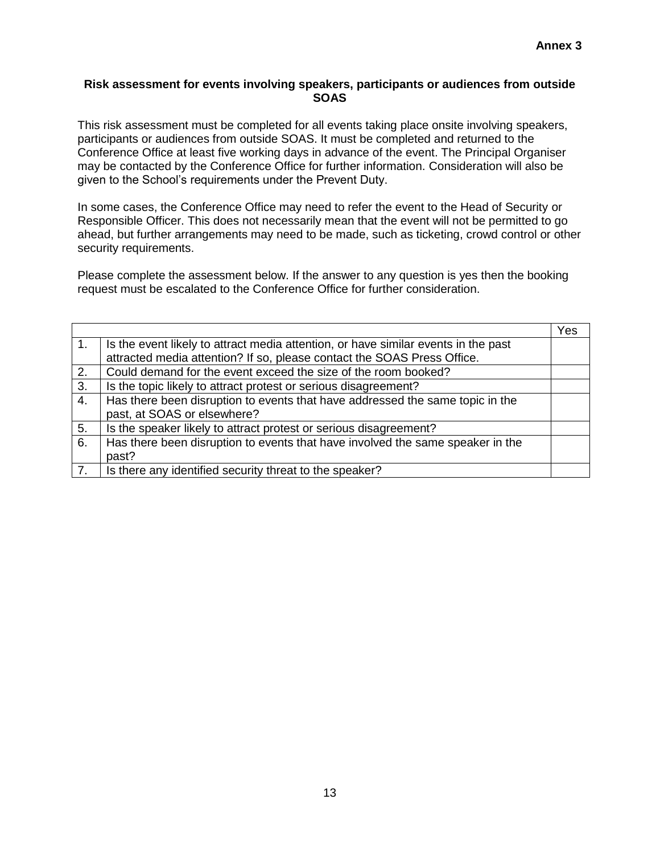#### **Risk assessment for events involving speakers, participants or audiences from outside SOAS**

This risk assessment must be completed for all events taking place onsite involving speakers, participants or audiences from outside SOAS. It must be completed and returned to the Conference Office at least five working days in advance of the event. The Principal Organiser may be contacted by the Conference Office for further information. Consideration will also be given to the School"s requirements under the Prevent Duty.

In some cases, the Conference Office may need to refer the event to the Head of Security or Responsible Officer. This does not necessarily mean that the event will not be permitted to go ahead, but further arrangements may need to be made, such as ticketing, crowd control or other security requirements.

Please complete the assessment below. If the answer to any question is yes then the booking request must be escalated to the Conference Office for further consideration.

|    |                                                                                                                                                               | Yes |
|----|---------------------------------------------------------------------------------------------------------------------------------------------------------------|-----|
| 1. | Is the event likely to attract media attention, or have similar events in the past<br>attracted media attention? If so, please contact the SOAS Press Office. |     |
| 2. | Could demand for the event exceed the size of the room booked?                                                                                                |     |
| 3. | Is the topic likely to attract protest or serious disagreement?                                                                                               |     |
| 4. | Has there been disruption to events that have addressed the same topic in the                                                                                 |     |
|    | past, at SOAS or elsewhere?                                                                                                                                   |     |
| 5. | Is the speaker likely to attract protest or serious disagreement?                                                                                             |     |
| 6. | Has there been disruption to events that have involved the same speaker in the                                                                                |     |
|    | past?                                                                                                                                                         |     |
| 7. | Is there any identified security threat to the speaker?                                                                                                       |     |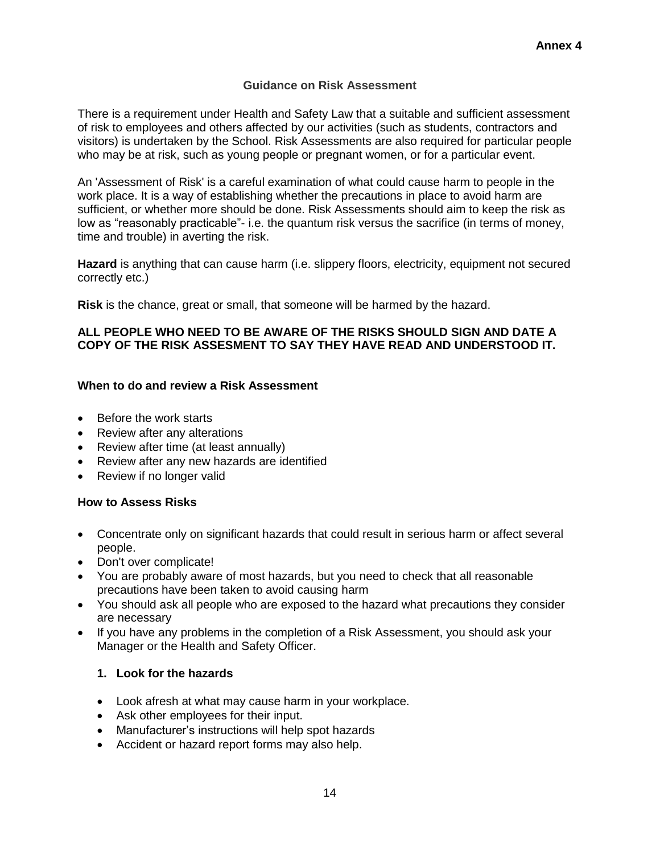## **Guidance on Risk Assessment**

There is a requirement under Health and Safety Law that a suitable and sufficient assessment of risk to employees and others affected by our activities (such as students, contractors and visitors) is undertaken by the School. Risk Assessments are also required for particular people who may be at risk, such as young people or pregnant women, or for a particular event.

An 'Assessment of Risk' is a careful examination of what could cause harm to people in the work place. It is a way of establishing whether the precautions in place to avoid harm are sufficient, or whether more should be done. Risk Assessments should aim to keep the risk as low as "reasonably practicable"- i.e. the quantum risk versus the sacrifice (in terms of money, time and trouble) in averting the risk.

**Hazard** is anything that can cause harm (i.e. slippery floors, electricity, equipment not secured correctly etc.)

**Risk** is the chance, great or small, that someone will be harmed by the hazard.

### **ALL PEOPLE WHO NEED TO BE AWARE OF THE RISKS SHOULD SIGN AND DATE A COPY OF THE RISK ASSESMENT TO SAY THEY HAVE READ AND UNDERSTOOD IT.**

#### **When to do and review a Risk Assessment**

- Before the work starts
- Review after any alterations
- Review after time (at least annually)
- Review after any new hazards are identified
- Review if no longer valid

#### **How to Assess Risks**

- Concentrate only on significant hazards that could result in serious harm or affect several people.
- Don't over complicate!
- You are probably aware of most hazards, but you need to check that all reasonable precautions have been taken to avoid causing harm
- You should ask all people who are exposed to the hazard what precautions they consider are necessary
- If you have any problems in the completion of a Risk Assessment, you should ask your Manager or the Health and Safety Officer.

#### **1. Look for the hazards**

- Look afresh at what may cause harm in your workplace.
- Ask other employees for their input.
- Manufacturer's instructions will help spot hazards
- Accident or hazard report forms may also help.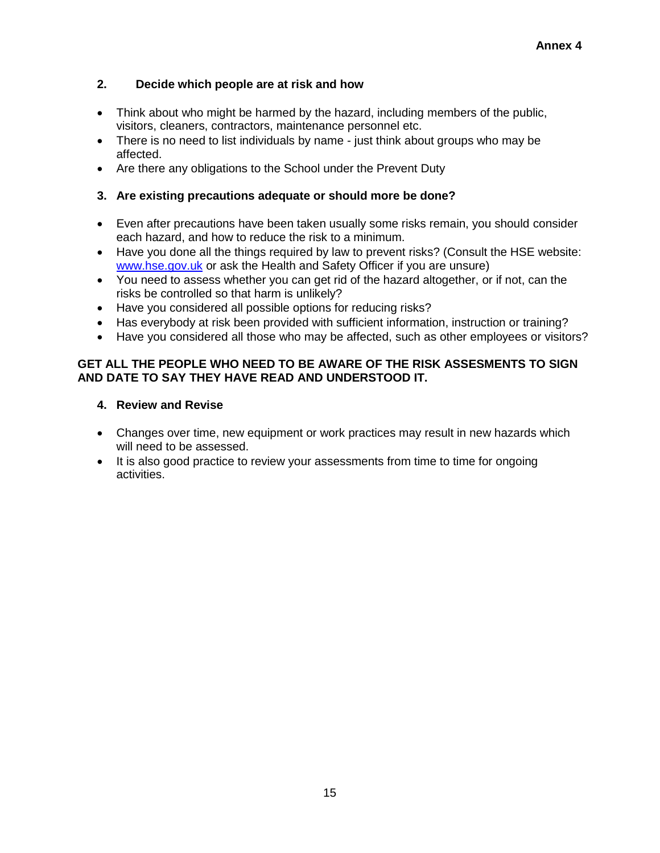## **2. Decide which people are at risk and how**

- Think about who might be harmed by the hazard, including members of the public, visitors, cleaners, contractors, maintenance personnel etc.
- There is no need to list individuals by name just think about groups who may be affected.
- Are there any obligations to the School under the Prevent Duty

### **3. Are existing precautions adequate or should more be done?**

- Even after precautions have been taken usually some risks remain, you should consider each hazard, and how to reduce the risk to a minimum.
- Have you done all the things required by law to prevent risks? (Consult the HSE website: [www.hse.gov.uk](http://www.hse.gov.uk/) or ask the Health and Safety Officer if you are unsure)
- You need to assess whether you can get rid of the hazard altogether, or if not, can the risks be controlled so that harm is unlikely?
- Have you considered all possible options for reducing risks?
- Has everybody at risk been provided with sufficient information, instruction or training?
- Have you considered all those who may be affected, such as other employees or visitors?

## **GET ALL THE PEOPLE WHO NEED TO BE AWARE OF THE RISK ASSESMENTS TO SIGN AND DATE TO SAY THEY HAVE READ AND UNDERSTOOD IT.**

### **4. Review and Revise**

- Changes over time, new equipment or work practices may result in new hazards which will need to be assessed.
- It is also good practice to review your assessments from time to time for ongoing activities.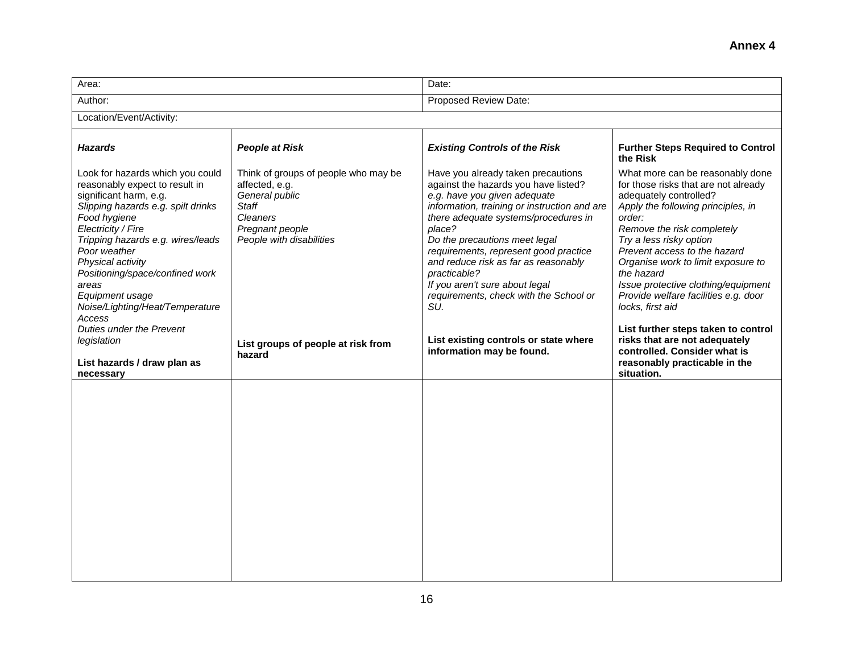| Area:                                                                                                                                                                                                                                                                                                                                                                                                     |                                                                                                                                                     | Date:                                                                                                                                                                                                                                                                                                                                                                                                                                                                      |                                                                                                                                                                                                                                                                                                                                                                                                                                                                            |  |  |
|-----------------------------------------------------------------------------------------------------------------------------------------------------------------------------------------------------------------------------------------------------------------------------------------------------------------------------------------------------------------------------------------------------------|-----------------------------------------------------------------------------------------------------------------------------------------------------|----------------------------------------------------------------------------------------------------------------------------------------------------------------------------------------------------------------------------------------------------------------------------------------------------------------------------------------------------------------------------------------------------------------------------------------------------------------------------|----------------------------------------------------------------------------------------------------------------------------------------------------------------------------------------------------------------------------------------------------------------------------------------------------------------------------------------------------------------------------------------------------------------------------------------------------------------------------|--|--|
| Author:                                                                                                                                                                                                                                                                                                                                                                                                   |                                                                                                                                                     | Proposed Review Date:                                                                                                                                                                                                                                                                                                                                                                                                                                                      |                                                                                                                                                                                                                                                                                                                                                                                                                                                                            |  |  |
| Location/Event/Activity:                                                                                                                                                                                                                                                                                                                                                                                  |                                                                                                                                                     |                                                                                                                                                                                                                                                                                                                                                                                                                                                                            |                                                                                                                                                                                                                                                                                                                                                                                                                                                                            |  |  |
| <b>Hazards</b>                                                                                                                                                                                                                                                                                                                                                                                            | <b>People at Risk</b>                                                                                                                               | <b>Existing Controls of the Risk</b>                                                                                                                                                                                                                                                                                                                                                                                                                                       | <b>Further Steps Required to Control</b><br>the Risk                                                                                                                                                                                                                                                                                                                                                                                                                       |  |  |
| Look for hazards which you could<br>reasonably expect to result in<br>significant harm, e.g.<br>Slipping hazards e.g. spilt drinks<br>Food hygiene<br>Electricity / Fire<br>Tripping hazards e.g. wires/leads<br>Poor weather<br>Physical activity<br>Positioning/space/confined work<br>areas<br>Equipment usage<br>Noise/Lighting/Heat/Temperature<br>Access<br>Duties under the Prevent<br>legislation | Think of groups of people who may be<br>affected, e.g.<br>General public<br><b>Staff</b><br>Cleaners<br>Pregnant people<br>People with disabilities | Have you already taken precautions<br>against the hazards you have listed?<br>e.g. have you given adequate<br>information, training or instruction and are<br>there adequate systems/procedures in<br>place?<br>Do the precautions meet legal<br>requirements, represent good practice<br>and reduce risk as far as reasonably<br>practicable?<br>If you aren't sure about legal<br>requirements, check with the School or<br>SU.<br>List existing controls or state where | What more can be reasonably done<br>for those risks that are not already<br>adequately controlled?<br>Apply the following principles, in<br>order:<br>Remove the risk completely<br>Try a less risky option<br>Prevent access to the hazard<br>Organise work to limit exposure to<br>the hazard<br>Issue protective clothing/equipment<br>Provide welfare facilities e.g. door<br>locks, first aid<br>List further steps taken to control<br>risks that are not adequately |  |  |
| List hazards / draw plan as<br>necessary                                                                                                                                                                                                                                                                                                                                                                  | List groups of people at risk from<br>hazard                                                                                                        | information may be found.                                                                                                                                                                                                                                                                                                                                                                                                                                                  | controlled. Consider what is<br>reasonably practicable in the<br>situation.                                                                                                                                                                                                                                                                                                                                                                                                |  |  |
|                                                                                                                                                                                                                                                                                                                                                                                                           |                                                                                                                                                     |                                                                                                                                                                                                                                                                                                                                                                                                                                                                            |                                                                                                                                                                                                                                                                                                                                                                                                                                                                            |  |  |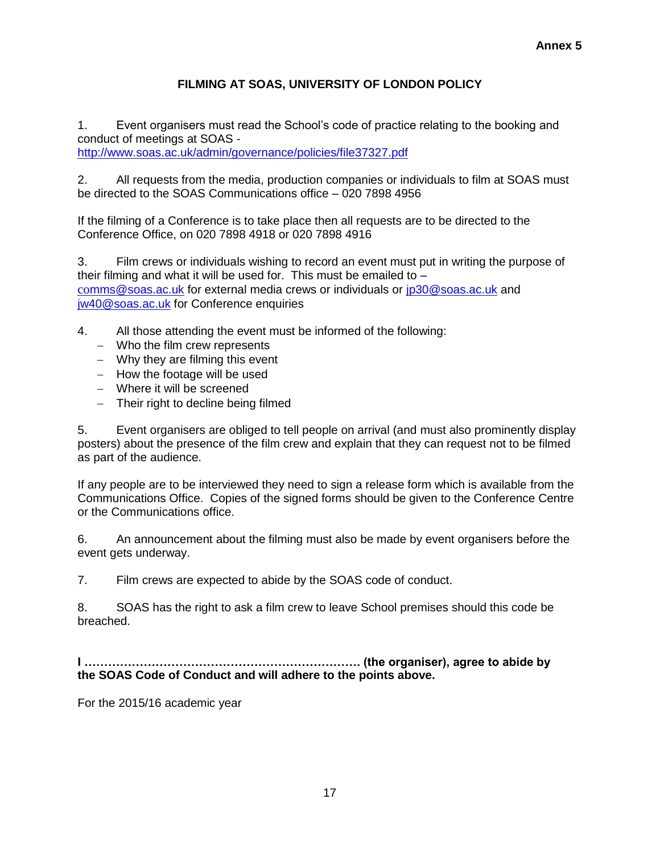# **FILMING AT SOAS, UNIVERSITY OF LONDON POLICY**

1. Event organisers must read the School"s code of practice relating to the booking and conduct of meetings at SOAS <http://www.soas.ac.uk/admin/governance/policies/file37327.pdf>

2. All requests from the media, production companies or individuals to film at SOAS must be directed to the SOAS Communications office – 020 7898 4956

If the filming of a Conference is to take place then all requests are to be directed to the Conference Office, on 020 7898 4918 or 020 7898 4916

3. Film crews or individuals wishing to record an event must put in writing the purpose of their filming and what it will be used for. This must be emailed to  $$ co[mms@soas.ac.uk](mailto:comms@soas.ac.uk) for external media crews or individuals or [jp30@soas.ac.uk](mailto:jp30@soas.ac.uk) and iw40@soas.ac.uk for Conference enquiries

- 4. All those attending the event must be informed of the following:
	- Who the film crew represents
	- Why they are filming this event
	- $-$  How the footage will be used
	- Where it will be screened
	- Their right to decline being filmed

5. Event organisers are obliged to tell people on arrival (and must also prominently display posters) about the presence of the film crew and explain that they can request not to be filmed as part of the audience.

If any people are to be interviewed they need to sign a release form which is available from the Communications Office. Copies of the signed forms should be given to the Conference Centre or the Communications office.

6. An announcement about the filming must also be made by event organisers before the event gets underway.

7. Film crews are expected to abide by the SOAS code of conduct.

8. SOAS has the right to ask a film crew to leave School premises should this code be breached.

**I ……………………………………………………………. (the organiser), agree to abide by the SOAS Code of Conduct and will adhere to the points above.** 

For the 2015/16 academic year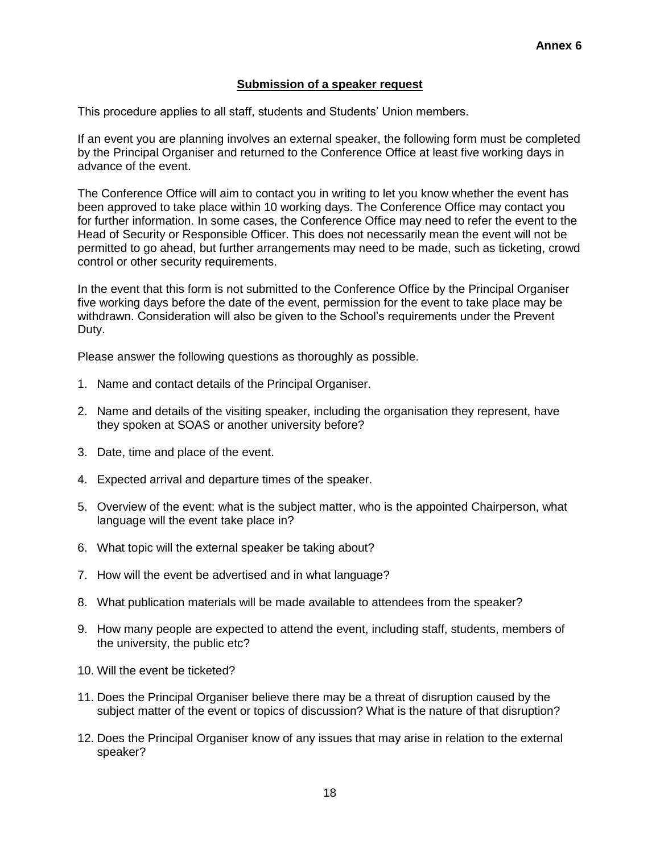### **Submission of a speaker request**

This procedure applies to all staff, students and Students" Union members.

If an event you are planning involves an external speaker, the following form must be completed by the Principal Organiser and returned to the Conference Office at least five working days in advance of the event.

The Conference Office will aim to contact you in writing to let you know whether the event has been approved to take place within 10 working days. The Conference Office may contact you for further information. In some cases, the Conference Office may need to refer the event to the Head of Security or Responsible Officer. This does not necessarily mean the event will not be permitted to go ahead, but further arrangements may need to be made, such as ticketing, crowd control or other security requirements.

In the event that this form is not submitted to the Conference Office by the Principal Organiser five working days before the date of the event, permission for the event to take place may be withdrawn. Consideration will also be given to the School"s requirements under the Prevent Duty.

Please answer the following questions as thoroughly as possible.

- 1. Name and contact details of the Principal Organiser.
- 2. Name and details of the visiting speaker, including the organisation they represent, have they spoken at SOAS or another university before?
- 3. Date, time and place of the event.
- 4. Expected arrival and departure times of the speaker.
- 5. Overview of the event: what is the subject matter, who is the appointed Chairperson, what language will the event take place in?
- 6. What topic will the external speaker be taking about?
- 7. How will the event be advertised and in what language?
- 8. What publication materials will be made available to attendees from the speaker?
- 9. How many people are expected to attend the event, including staff, students, members of the university, the public etc?
- 10. Will the event be ticketed?
- 11. Does the Principal Organiser believe there may be a threat of disruption caused by the subject matter of the event or topics of discussion? What is the nature of that disruption?
- 12. Does the Principal Organiser know of any issues that may arise in relation to the external speaker?